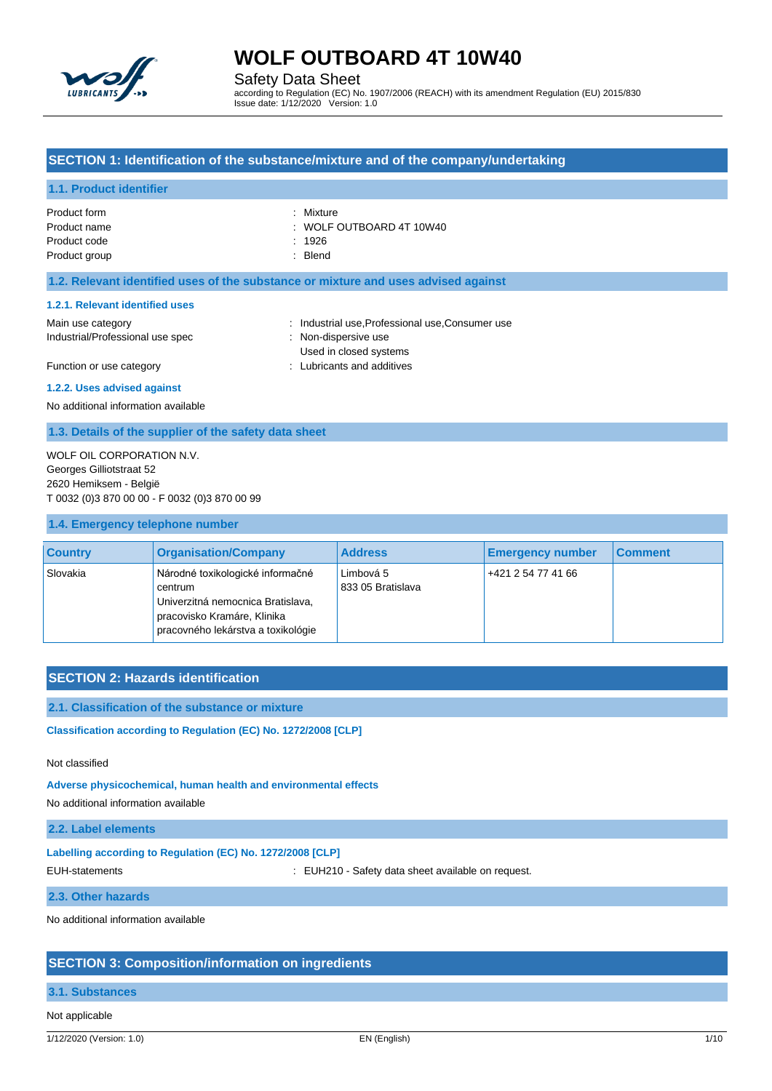

Safety Data Sheet

according to Regulation (EC) No. 1907/2006 (REACH) with its amendment Regulation (EU) 2015/830 Issue date: 1/12/2020 Version: 1.0

## **SECTION 1: Identification of the substance/mixture and of the company/undertaking**

### **1.1. Product identifier**

| Product form  | : Mixture                           |
|---------------|-------------------------------------|
| Product name  | $\therefore$ WOLF OUTBOARD 4T 10W40 |
| Product code  | : 1926                              |
| Product group | : Blend                             |
|               |                                     |

## **1.2. Relevant identified uses of the substance or mixture and uses advised against**

#### **1.2.1. Relevant identified uses**

- Main use category **industrial use, Professional use, Consumer use** in Main use category Industrial/Professional use spec : Non-dispersive use Used in closed systems
- Function or use category **Example 20** Function or use category **and according to the CO** Function or use category
- 

#### **1.2.2. Uses advised against**

No additional information available

### **1.3. Details of the supplier of the safety data sheet**

WOLF OIL CORPORATION N.V. Georges Gilliotstraat 52 2620 Hemiksem - België T 0032 (0)3 870 00 00 - F 0032 (0)3 870 00 99

### **1.4. Emergency telephone number**

| <b>Country</b> | <b>Organisation/Company</b>                                                                                                                           | <b>Address</b>                 | <b>Emergency number</b> | <b>Comment</b> |
|----------------|-------------------------------------------------------------------------------------------------------------------------------------------------------|--------------------------------|-------------------------|----------------|
| Slovakia       | Národné toxikologické informačné<br>centrum<br>Univerzitná nemocnica Bratislava,<br>pracovisko Kramáre, Klinika<br>pracovného lekárstva a toxikológie | Limbová 5<br>833 05 Bratislava | +421 2 54 77 41 66      |                |

## **SECTION 2: Hazards identification**

### **2.1. Classification of the substance or mixture**

**Classification according to Regulation (EC) No. 1272/2008 [CLP]** 

## Not classified

**Adverse physicochemical, human health and environmental effects**

No additional information available

## **2.2. Label elements**

## **Labelling according to Regulation (EC) No. 1272/2008 [CLP]**

EUH-statements **EUH210** - Safety data sheet available on request.

### **2.3. Other hazards**

No additional information available

## **SECTION 3: Composition/information on ingredients**

#### **3.1. Substances**

Not applicable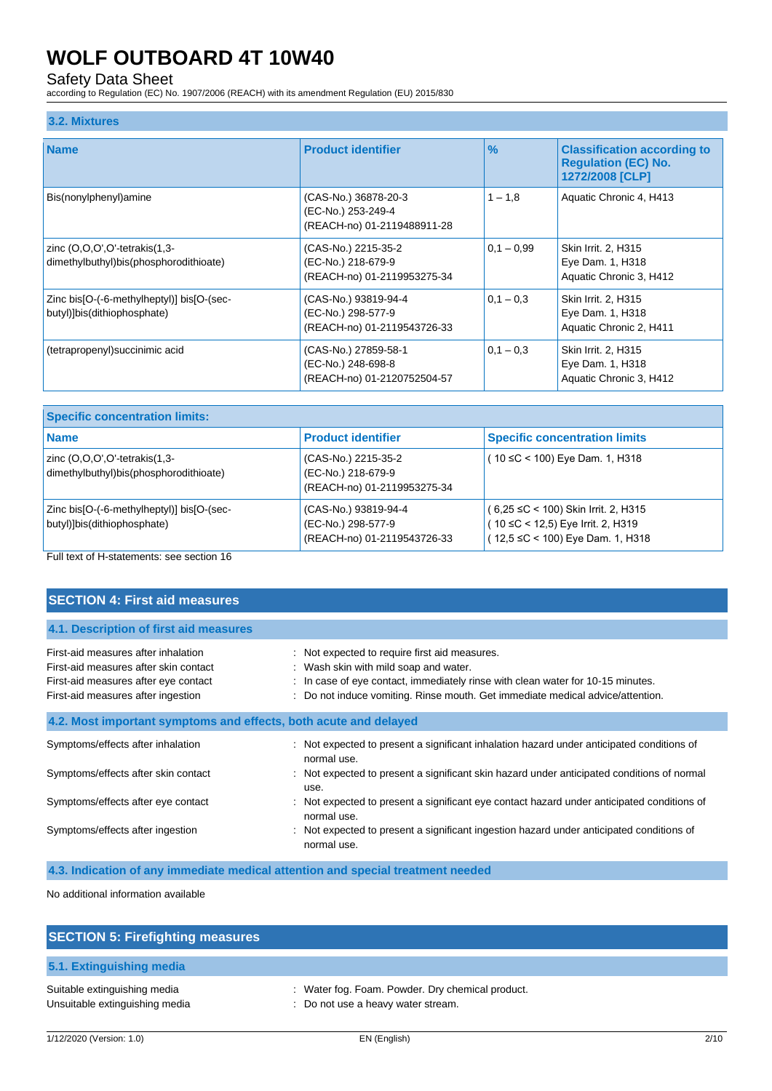## Safety Data Sheet

according to Regulation (EC) No. 1907/2006 (REACH) with its amendment Regulation (EU) 2015/830

### **3.2. Mixtures**

| <b>Name</b>                                                              | <b>Product identifier</b>                                                 | $\frac{9}{6}$ | <b>Classification according to</b><br><b>Requlation (EC) No.</b><br>1272/2008 [CLP] |
|--------------------------------------------------------------------------|---------------------------------------------------------------------------|---------------|-------------------------------------------------------------------------------------|
| Bis(nonylphenyl)amine                                                    | (CAS-No.) 36878-20-3<br>(EC-No.) 253-249-4<br>(REACH-no) 01-2119488911-28 | $1 - 1.8$     | Aquatic Chronic 4, H413                                                             |
| zinc (O,O,O',O'-tetrakis(1,3-<br>dimethylbuthyl)bis(phosphorodithioate)  | (CAS-No.) 2215-35-2<br>(EC-No.) 218-679-9<br>(REACH-no) 01-2119953275-34  | $0.1 - 0.99$  | Skin Irrit. 2, H315<br>Eye Dam. 1, H318<br>Aquatic Chronic 3, H412                  |
| Zinc bis[O-(-6-methylheptyl)] bis[O-(sec-<br>butyl)]bis(dithiophosphate) | (CAS-No.) 93819-94-4<br>(EC-No.) 298-577-9<br>(REACH-no) 01-2119543726-33 | $0.1 - 0.3$   | Skin Irrit. 2, H315<br>Eye Dam. 1, H318<br>Aquatic Chronic 2, H411                  |
| (tetrapropenyl) succinimic acid                                          | (CAS-No.) 27859-58-1<br>(EC-No.) 248-698-8<br>(REACH-no) 01-2120752504-57 | $0.1 - 0.3$   | Skin Irrit. 2, H315<br>Eye Dam. 1, H318<br>Aquatic Chronic 3, H412                  |

| <b>Specific concentration limits:</b>                                           |                                                                           |                                                                                                                     |
|---------------------------------------------------------------------------------|---------------------------------------------------------------------------|---------------------------------------------------------------------------------------------------------------------|
| <b>Name</b>                                                                     | <b>Product identifier</b>                                                 | <b>Specific concentration limits</b>                                                                                |
| zinc $(O,O,O',O')$ -tetrakis $(1,3-)$<br>dimethylbuthyl)bis(phosphorodithioate) | (CAS-No.) 2215-35-2<br>(EC-No.) 218-679-9<br>(REACH-no) 01-2119953275-34  | (10 ≤C < 100) Eye Dam. 1, H318                                                                                      |
| Zinc bis[O-(-6-methylheptyl)] bis[O-(sec-<br>butyl)]bis(dithiophosphate)        | (CAS-No.) 93819-94-4<br>(EC-No.) 298-577-9<br>(REACH-no) 01-2119543726-33 | $(6,25 \leq C < 100)$ Skin Irrit. 2, H315<br>( 10 ≤C < 12,5) Eye Irrit. 2, H319<br>(12,5 ≤C < 100) Eye Dam. 1, H318 |

Full text of H-statements: see section 16

| <b>SECTION 4: First aid measures</b>                                                                                                                       |                                                                                                                                                                                                                                                           |
|------------------------------------------------------------------------------------------------------------------------------------------------------------|-----------------------------------------------------------------------------------------------------------------------------------------------------------------------------------------------------------------------------------------------------------|
| 4.1. Description of first aid measures                                                                                                                     |                                                                                                                                                                                                                                                           |
| First-aid measures after inhalation<br>First-aid measures after skin contact<br>First-aid measures after eye contact<br>First-aid measures after ingestion | : Not expected to require first aid measures.<br>: Wash skin with mild soap and water.<br>: In case of eye contact, immediately rinse with clean water for 10-15 minutes.<br>Do not induce vomiting. Rinse mouth. Get immediate medical advice/attention. |
| 4.2. Most important symptoms and effects, both acute and delayed                                                                                           |                                                                                                                                                                                                                                                           |
| Symptoms/effects after inhalation                                                                                                                          | Not expected to present a significant inhalation hazard under anticipated conditions of<br>normal use.                                                                                                                                                    |
| Symptoms/effects after skin contact                                                                                                                        | : Not expected to present a significant skin hazard under anticipated conditions of normal<br>use.                                                                                                                                                        |
| Symptoms/effects after eye contact                                                                                                                         | Not expected to present a significant eye contact hazard under anticipated conditions of<br>normal use.                                                                                                                                                   |
| Symptoms/effects after ingestion                                                                                                                           | Not expected to present a significant ingestion hazard under anticipated conditions of<br>normal use.                                                                                                                                                     |

**4.3. Indication of any immediate medical attention and special treatment needed**

No additional information available

| <b>SECTION 5: Firefighting measures</b>                        |                                                                                        |
|----------------------------------------------------------------|----------------------------------------------------------------------------------------|
| 5.1. Extinguishing media                                       |                                                                                        |
| Suitable extinguishing media<br>Unsuitable extinguishing media | : Water fog. Foam. Powder. Dry chemical product.<br>: Do not use a heavy water stream. |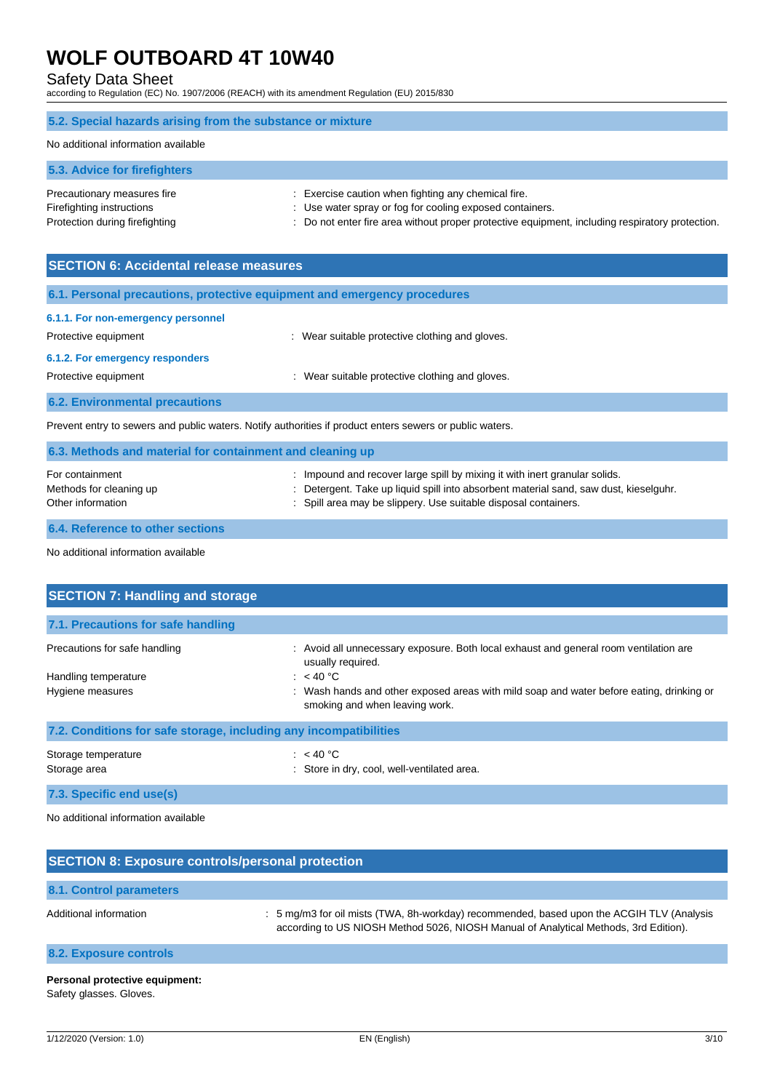## Safety Data Sheet

according to Regulation (EC) No. 1907/2006 (REACH) with its amendment Regulation (EU) 2015/830

## **5.2. Special hazards arising from the substance or mixture**

#### No additional information available

**5.3. Advice for firefighters**

| Precautionary measures fire    | : Exercise caution when fighting any chemical fire.                                             |
|--------------------------------|-------------------------------------------------------------------------------------------------|
| Firefighting instructions      | : Use water spray or fog for cooling exposed containers.                                        |
| Protection during firefighting | : Do not enter fire area without proper protective equipment, including respiratory protection. |

| <b>SECTION 6: Accidental release measures</b>                                                            |                                                 |  |
|----------------------------------------------------------------------------------------------------------|-------------------------------------------------|--|
| 6.1. Personal precautions, protective equipment and emergency procedures                                 |                                                 |  |
| 6.1.1. For non-emergency personnel                                                                       |                                                 |  |
| Protective equipment                                                                                     | : Wear suitable protective clothing and gloves. |  |
| 6.1.2. For emergency responders                                                                          |                                                 |  |
| Protective equipment                                                                                     | : Wear suitable protective clothing and gloves. |  |
| <b>6.2. Environmental precautions</b>                                                                    |                                                 |  |
| Prevent entry to sewers and public waters. Notify authorities if product enters sewers or public waters. |                                                 |  |
| 6.3. Methods and material for containment and cleaning up                                                |                                                 |  |
|                                                                                                          |                                                 |  |

| For containment         | : Impound and recover large spill by mixing it with inert granular solids.            |
|-------------------------|---------------------------------------------------------------------------------------|
| Methods for cleaning up | : Detergent. Take up liquid spill into absorbent material sand, saw dust, kieselguhr. |
| Other information       | : Spill area may be slippery. Use suitable disposal containers.                       |

### **6.4. Reference to other sections**

No additional information available

| <b>SECTION 7: Handling and storage</b>                            |                                                                                                                            |
|-------------------------------------------------------------------|----------------------------------------------------------------------------------------------------------------------------|
| 7.1. Precautions for safe handling                                |                                                                                                                            |
| Precautions for safe handling                                     | : Avoid all unnecessary exposure. Both local exhaust and general room ventilation are<br>usually required.                 |
| Handling temperature                                              | : $<$ 40 °C                                                                                                                |
| Hygiene measures                                                  | : Wash hands and other exposed areas with mild soap and water before eating, drinking or<br>smoking and when leaving work. |
| 7.2. Conditions for safe storage, including any incompatibilities |                                                                                                                            |
| Storage temperature<br>Storage area                               | : $<$ 40 °C<br>: Store in dry, cool, well-ventilated area.                                                                 |

**7.3. Specific end use(s)**

No additional information available

| <b>SECTION 8: Exposure controls/personal protection</b> |                                                                                                                                                                                   |  |
|---------------------------------------------------------|-----------------------------------------------------------------------------------------------------------------------------------------------------------------------------------|--|
| 8.1. Control parameters                                 |                                                                                                                                                                                   |  |
| Additional information                                  | : 5 mg/m3 for oil mists (TWA, 8h-workday) recommended, based upon the ACGIH TLV (Analysis<br>according to US NIOSH Method 5026, NIOSH Manual of Analytical Methods, 3rd Edition). |  |
| 8.2. Exposure controls                                  |                                                                                                                                                                                   |  |
| Personal protective equipment:                          |                                                                                                                                                                                   |  |

Safety glasses. Gloves.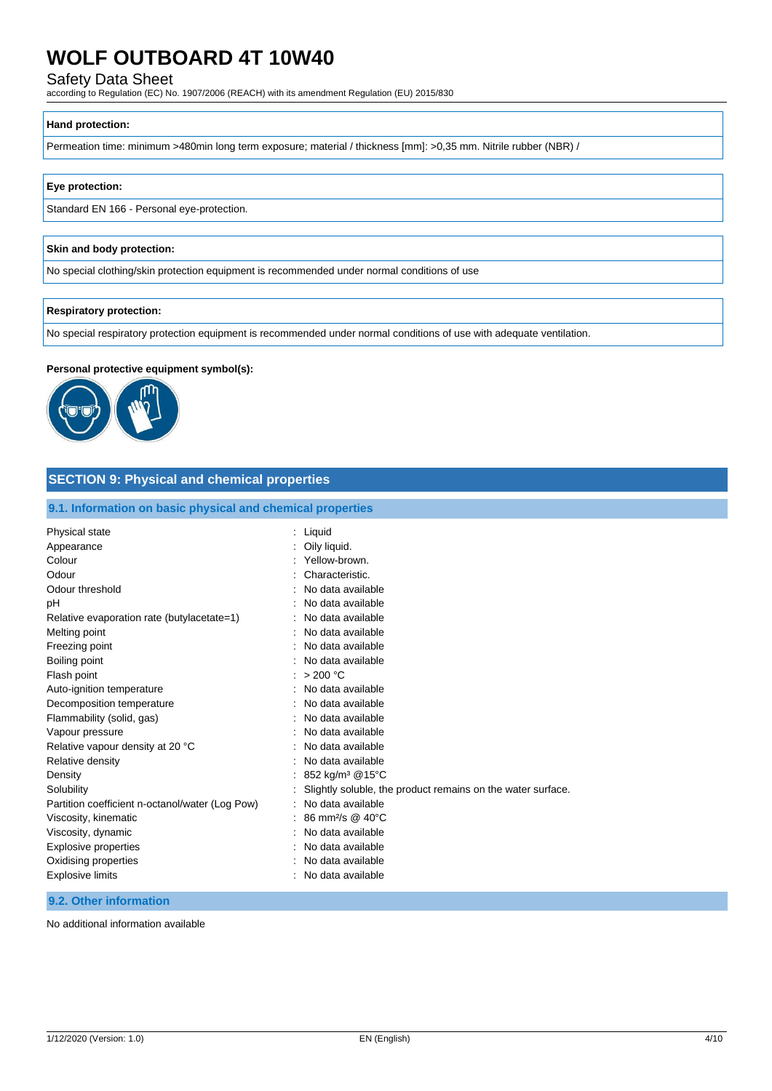Safety Data Sheet

according to Regulation (EC) No. 1907/2006 (REACH) with its amendment Regulation (EU) 2015/830

#### **Hand protection:**

Permeation time: minimum >480min long term exposure; material / thickness [mm]: >0,35 mm. Nitrile rubber (NBR) /

#### **Eye protection:**

Standard EN 166 - Personal eye-protection.

#### **Skin and body protection:**

No special clothing/skin protection equipment is recommended under normal conditions of use

#### **Respiratory protection:**

No special respiratory protection equipment is recommended under normal conditions of use with adequate ventilation.

#### **Personal protective equipment symbol(s):**



## **SECTION 9: Physical and chemical properties**

## **9.1. Information on basic physical and chemical properties**

| Physical state                                  | Liquid                                                      |
|-------------------------------------------------|-------------------------------------------------------------|
| Appearance                                      | Oily liquid.                                                |
| Colour                                          | Yellow-brown.                                               |
| Odour                                           | Characteristic.                                             |
| Odour threshold                                 | No data available                                           |
| pН                                              | No data available                                           |
| Relative evaporation rate (butylacetate=1)      | No data available                                           |
| Melting point                                   | No data available                                           |
| Freezing point                                  | No data available                                           |
| Boiling point                                   | No data available                                           |
| Flash point                                     | >200 °C                                                     |
| Auto-ignition temperature                       | No data available                                           |
| Decomposition temperature                       | No data available                                           |
| Flammability (solid, gas)                       | No data available                                           |
| Vapour pressure                                 | No data available                                           |
| Relative vapour density at 20 °C                | No data available                                           |
| Relative density                                | No data available                                           |
| Density                                         | 852 kg/m <sup>3</sup> @15°C                                 |
| Solubility                                      | Slightly soluble, the product remains on the water surface. |
| Partition coefficient n-octanol/water (Log Pow) | No data available                                           |
| Viscosity, kinematic                            | 86 mm <sup>2</sup> /s @ 40°C                                |
| Viscosity, dynamic                              | No data available                                           |
| <b>Explosive properties</b>                     | No data available                                           |
| Oxidising properties                            | No data available                                           |
| Explosive limits                                | No data available                                           |
|                                                 |                                                             |

## **9.2. Other information**

No additional information available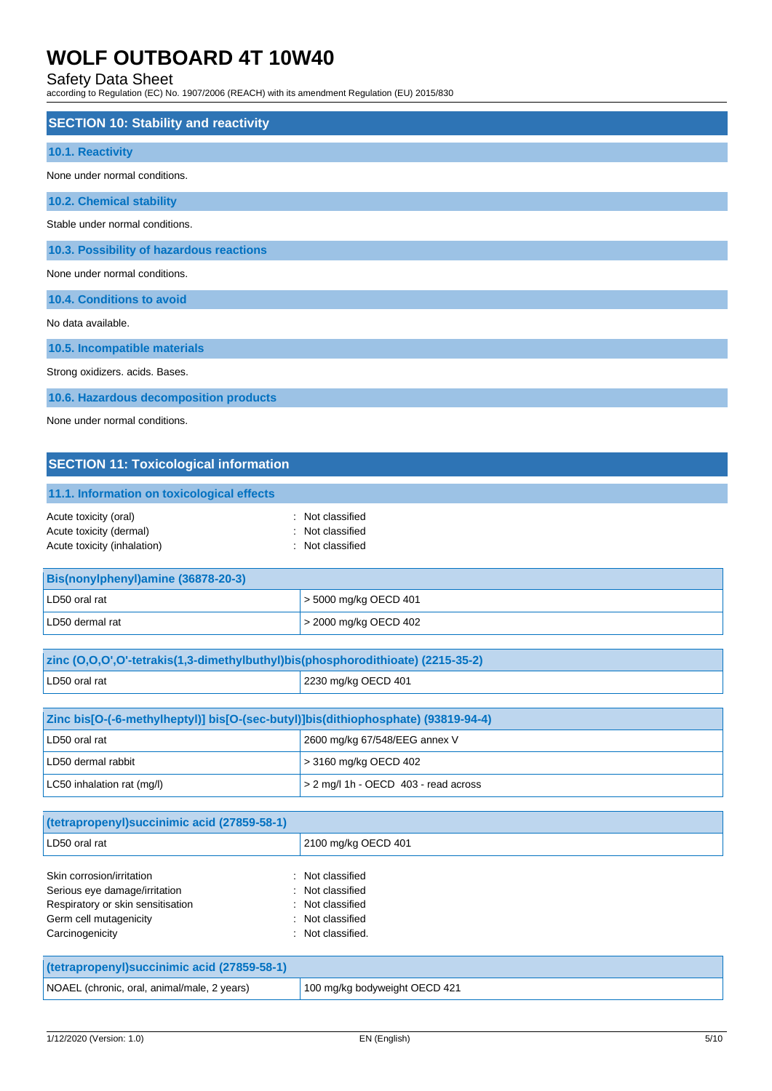## Safety Data Sheet

according to Regulation (EC) No. 1907/2006 (REACH) with its amendment Regulation (EU) 2015/830

| <b>SECTION 10: Stability and reactivity</b> |
|---------------------------------------------|
| 10.1. Reactivity                            |
| None under normal conditions.               |
| <b>10.2. Chemical stability</b>             |
| Stable under normal conditions.             |
| 10.3. Possibility of hazardous reactions    |
| None under normal conditions.               |
| 10.4. Conditions to avoid                   |
| No data available.                          |
|                                             |
| 10.5. Incompatible materials                |
| Strong oxidizers. acids. Bases.             |
| 10.6. Hazardous decomposition products      |

None under normal conditions.

# **SECTION 11: Toxicological information**

| 11.1. Information on toxicological effects |  |
|--------------------------------------------|--|
| : Not classified                           |  |
| : Not classified                           |  |
| : Not classified                           |  |
|                                            |  |

| <b>Bis(nonylphenyl)amine (36878-20-3)</b> |                               |
|-------------------------------------------|-------------------------------|
| LD50 oral rat                             | $\vert$ > 5000 mg/kg OECD 401 |
| LD50 dermal rat                           | $\geq$ 2000 mg/kg OECD 402    |

| zinc (0,0,0',0'-tetrakis(1,3-dimethylbuthyl)bis(phosphorodithioate) (2215-35-2) |                     |
|---------------------------------------------------------------------------------|---------------------|
| LD50 oral rat                                                                   | 2230 mg/kg OECD 401 |
|                                                                                 |                     |

| Zinc bis[O-(-6-methylheptyl)] bis[O-(sec-butyl)]bis(dithiophosphate) (93819-94-4) |                                           |
|-----------------------------------------------------------------------------------|-------------------------------------------|
| LD50 oral rat                                                                     | 2600 mg/kg 67/548/EEG annex V             |
| LD50 dermal rabbit                                                                | $\geq$ 3160 mg/kg OECD 402                |
| LC50 inhalation rat (mg/l)                                                        | $\geq$ 2 mg/l 1h - OECD 403 - read across |

| (tetrapropenyl) succinimic acid (27859-58-1)                                                                                                 |                                                                                                   |
|----------------------------------------------------------------------------------------------------------------------------------------------|---------------------------------------------------------------------------------------------------|
| LD50 oral rat                                                                                                                                | 2100 mg/kg OECD 401                                                                               |
| Skin corrosion/irritation<br>Serious eye damage/irritation<br>Respiratory or skin sensitisation<br>Germ cell mutagenicity<br>Carcinogenicity | : Not classified<br>: Not classified<br>: Not classified<br>: Not classified<br>: Not classified. |

| (tetrapropenyl)succinimic acid (27859-58-1) |                               |
|---------------------------------------------|-------------------------------|
| NOAEL (chronic, oral, animal/male, 2 years) | 100 mg/kg bodyweight OECD 421 |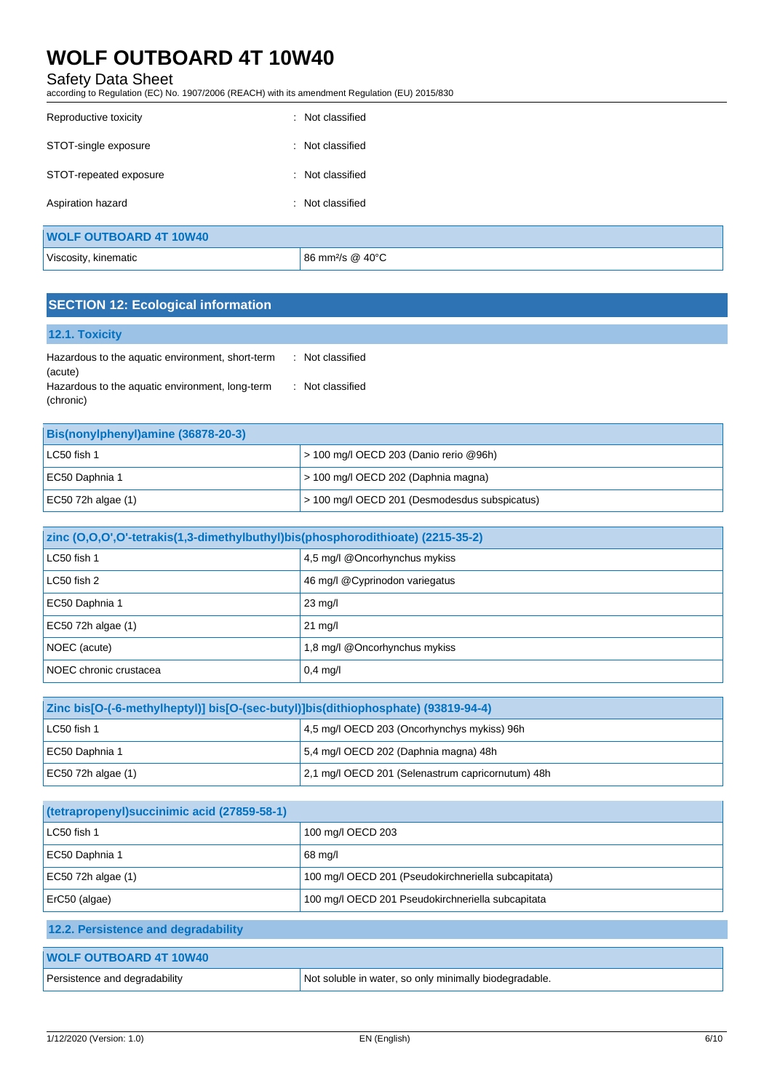## Safety Data Sheet

according to Regulation (EC) No. 1907/2006 (REACH) with its amendment Regulation (EU) 2015/830

| Reproductive toxicity         | : Not classified             |
|-------------------------------|------------------------------|
| STOT-single exposure          | : Not classified             |
| STOT-repeated exposure<br>÷   | Not classified               |
| Aspiration hazard             | : Not classified             |
| <b>WOLF OUTBOARD 4T 10W40</b> |                              |
| Viscosity, kinematic          | 86 mm <sup>2</sup> /s @ 40°C |

# **SECTION 12: Ecological information**

| <b>12.1. Toxicity</b>                                        |                  |
|--------------------------------------------------------------|------------------|
| Hazardous to the aquatic environment, short-term             | : Not classified |
| (acute)                                                      |                  |
| Hazardous to the aquatic environment, long-term<br>(chronic) | : Not classified |

| Bis(nonylphenyl)amine (36878-20-3) |                                               |
|------------------------------------|-----------------------------------------------|
| LC50 fish 1                        | $>$ 100 mg/l OECD 203 (Danio rerio @96h)      |
| EC50 Daphnia 1                     | $>$ 100 mg/l OECD 202 (Daphnia magna)         |
| EC50 72h algae $(1)$               | > 100 mg/l OECD 201 (Desmodesdus subspicatus) |

| zinc (O,O,O',O'-tetrakis(1,3-dimethylbuthyl)bis(phosphorodithioate) (2215-35-2) |                                 |
|---------------------------------------------------------------------------------|---------------------------------|
| LC50 fish 1                                                                     | $4.5$ mg/l @Oncorhynchus mykiss |
| LC50 fish 2                                                                     | 46 mg/l @Cyprinodon variegatus  |
| EC50 Daphnia 1                                                                  | $23 \text{ mg/l}$               |
| EC50 72h algae (1)                                                              | $21 \text{ mg/l}$               |
| NOEC (acute)                                                                    | 1,8 mg/l @Oncorhynchus mykiss   |
| NOEC chronic crustacea                                                          | $0,4$ mg/l                      |

| Zinc bis[O-(-6-methylheptyl)] bis[O-(sec-butyl)]bis(dithiophosphate) (93819-94-4) |                                                   |
|-----------------------------------------------------------------------------------|---------------------------------------------------|
| LC50 fish 1                                                                       | 4,5 mg/l OECD 203 (Oncorhynchys mykiss) 96h       |
| EC50 Daphnia 1                                                                    | 5,4 mg/l OECD 202 (Daphnia magna) 48h             |
| EC50 72h algae $(1)$                                                              | 2,1 mg/l OECD 201 (Selenastrum capricornutum) 48h |

| (tetrapropenyl) succinimic acid (27859-58-1) |                                                        |
|----------------------------------------------|--------------------------------------------------------|
| LC50 fish 1                                  | 100 mg/l OECD 203                                      |
| EC50 Daphnia 1                               | 68 mg/l                                                |
| EC50 72h algae (1)                           | 100 mg/l OECD 201 (Pseudokirchneriella subcapitata)    |
| ErC50 (algae)                                | 100 mg/l OECD 201 Pseudokirchneriella subcapitata      |
| 12.2. Persistence and degradability          |                                                        |
| <b>WOLF OUTBOARD 4T 10W40</b>                |                                                        |
| Persistence and degradability                | Not soluble in water, so only minimally biodegradable. |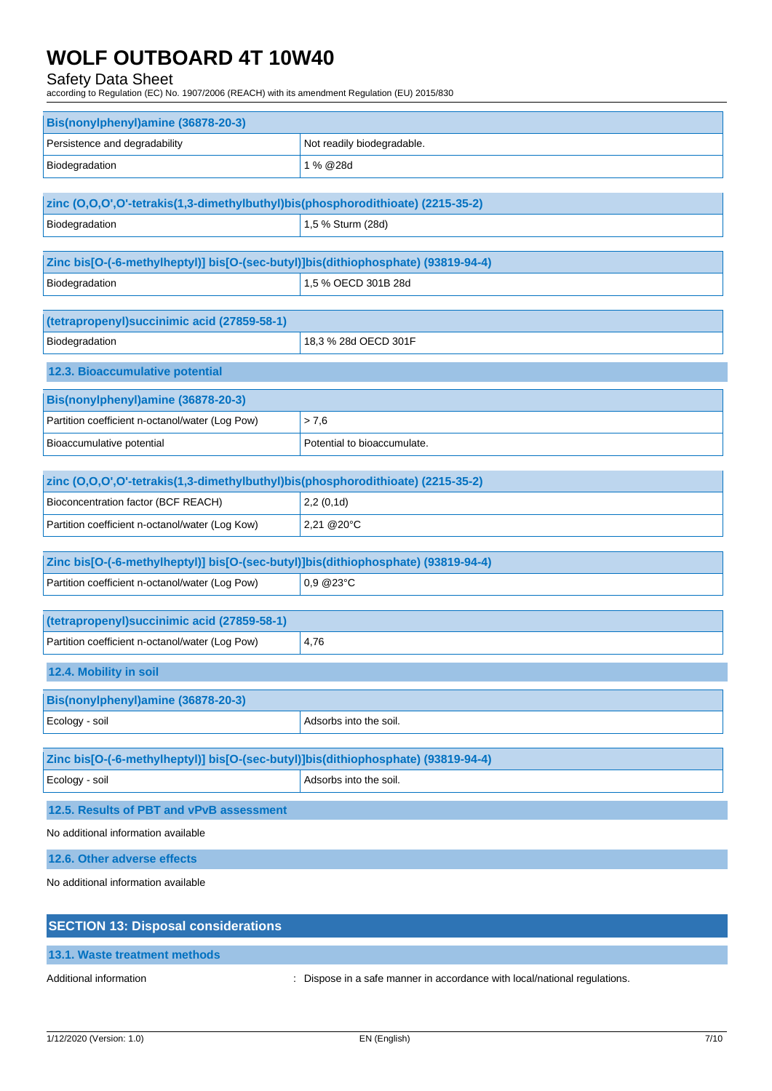## Safety Data Sheet

according to Regulation (EC) No. 1907/2006 (REACH) with its amendment Regulation (EU) 2015/830

| Bis(nonylphenyl)amine (36878-20-3) |                            |
|------------------------------------|----------------------------|
| Persistence and degradability      | Not readily biodegradable. |
| Biodegradation                     | 1 % @28d                   |

| zinc (0,0,0',0'-tetrakis(1,3-dimethylbuthyl)bis(phosphorodithioate) (2215-35-2) |                   |
|---------------------------------------------------------------------------------|-------------------|
| Biodegradation                                                                  | 1,5 % Sturm (28d) |

| Zinc bis[O-(-6-methylheptyl)] bis[O-(sec-butyl)]bis(dithiophosphate) (93819-94-4) |                     |
|-----------------------------------------------------------------------------------|---------------------|
| Biodegradation                                                                    | 1,5 % OECD 301B 28d |

| (tetrapropenyl) succinimic acid (27859-58-1) |                      |
|----------------------------------------------|----------------------|
| Biodegradation                               | 18.3 % 28d OECD 301F |
| 12.3. Bioaccumulative potential              |                      |

| <b>Bis(nonylphenyl)amine (36878-20-3)</b>       |                             |
|-------------------------------------------------|-----------------------------|
| Partition coefficient n-octanol/water (Log Pow) | > 7.6                       |
| <b>Bioaccumulative potential</b>                | Potential to bioaccumulate. |

| zinc (0,0,0',0'-tetrakis(1,3-dimethylbuthyl)bis(phosphorodithioate) (2215-35-2) |                                 |
|---------------------------------------------------------------------------------|---------------------------------|
| Bioconcentration factor (BCF REACH)                                             | 2,2(0,1d)                       |
| Partition coefficient n-octanol/water (Log Kow)                                 | $ 2,21 \text{ @ } 20^{\circ}$ C |

| Zinc bis[O-(-6-methylheptyl)] bis[O-(sec-butyl)]bis(dithiophosphate) (93819-94-4) |                              |
|-----------------------------------------------------------------------------------|------------------------------|
| Partition coefficient n-octanol/water (Log Pow)                                   | $\vert$ 0.9 @23 $^{\circ}$ C |

| (tetrapropenyl)succinimic acid (27859-58-1)     |        |
|-------------------------------------------------|--------|
| Partition coefficient n-octanol/water (Log Pow) | , 4,76 |

**12.4. Mobility in soil**

| Bis(nonylphenyl)amine (36878-20-3) |                        |
|------------------------------------|------------------------|
| Ecology - soil                     | Adsorbs into the soil. |

| Adsorbs into the soil. | Zinc bis[O-(-6-methylheptyl)] bis[O-(sec-butyl)]bis(dithiophosphate) (93819-94-4) |                |
|------------------------|-----------------------------------------------------------------------------------|----------------|
|                        |                                                                                   | Ecology - soil |

**12.5. Results of PBT and vPvB assessment**

No additional information available

**12.6. Other adverse effects**

No additional information available

| <b>SECTION 13: Disposal considerations</b> |                                                                           |
|--------------------------------------------|---------------------------------------------------------------------------|
| 13.1. Waste treatment methods              |                                                                           |
| Additional information                     | : Dispose in a safe manner in accordance with local/national regulations. |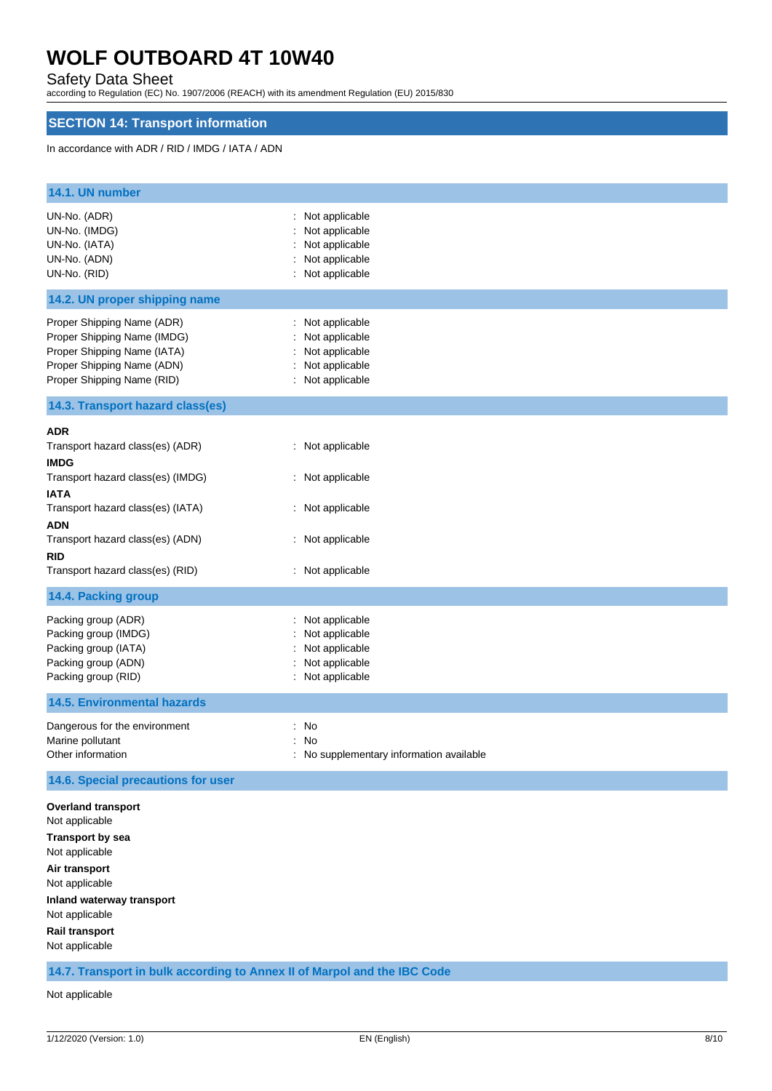## Safety Data Sheet

according to Regulation (EC) No. 1907/2006 (REACH) with its amendment Regulation (EU) 2015/830

# **SECTION 14: Transport information**

### In accordance with ADR / RID / IMDG / IATA / ADN

| 14.1. UN number                                                                                                                                                                                                |                                                                                            |  |
|----------------------------------------------------------------------------------------------------------------------------------------------------------------------------------------------------------------|--------------------------------------------------------------------------------------------|--|
| UN-No. (ADR)<br>UN-No. (IMDG)<br>UN-No. (IATA)<br>UN-No. (ADN)<br>UN-No. (RID)                                                                                                                                 | : Not applicable<br>Not applicable<br>Not applicable<br>Not applicable<br>: Not applicable |  |
| 14.2. UN proper shipping name                                                                                                                                                                                  |                                                                                            |  |
| Proper Shipping Name (ADR)<br>Proper Shipping Name (IMDG)<br>Proper Shipping Name (IATA)<br>Proper Shipping Name (ADN)<br>Proper Shipping Name (RID)                                                           | : Not applicable<br>Not applicable<br>Not applicable<br>Not applicable<br>: Not applicable |  |
| 14.3. Transport hazard class(es)                                                                                                                                                                               |                                                                                            |  |
| <b>ADR</b><br>Transport hazard class(es) (ADR)<br><b>IMDG</b><br>Transport hazard class(es) (IMDG)<br>IATA                                                                                                     | : Not applicable<br>: Not applicable                                                       |  |
| Transport hazard class(es) (IATA)<br>ADN<br>Transport hazard class(es) (ADN)                                                                                                                                   | : Not applicable<br>: Not applicable                                                       |  |
| rid<br>Transport hazard class(es) (RID)                                                                                                                                                                        | : Not applicable                                                                           |  |
| 14.4. Packing group                                                                                                                                                                                            |                                                                                            |  |
| Packing group (ADR)<br>Packing group (IMDG)<br>Packing group (IATA)<br>Packing group (ADN)<br>Packing group (RID)                                                                                              | Not applicable<br>Not applicable<br>Not applicable<br>Not applicable<br>: Not applicable   |  |
| <b>14.5. Environmental hazards</b>                                                                                                                                                                             |                                                                                            |  |
| Dangerous for the environment<br>Marine pollutant<br>Other information                                                                                                                                         | : No<br>: No<br>: No supplementary information available                                   |  |
| 14.6. Special precautions for user                                                                                                                                                                             |                                                                                            |  |
| <b>Overland transport</b><br>Not applicable<br><b>Transport by sea</b><br>Not applicable<br>Air transport<br>Not applicable<br>Inland waterway transport<br>Not applicable<br>Rail transport<br>Not applicable |                                                                                            |  |
| 14.7. Transport in bulk according to Annex II of Marpol and the IBC Code                                                                                                                                       |                                                                                            |  |

Not applicable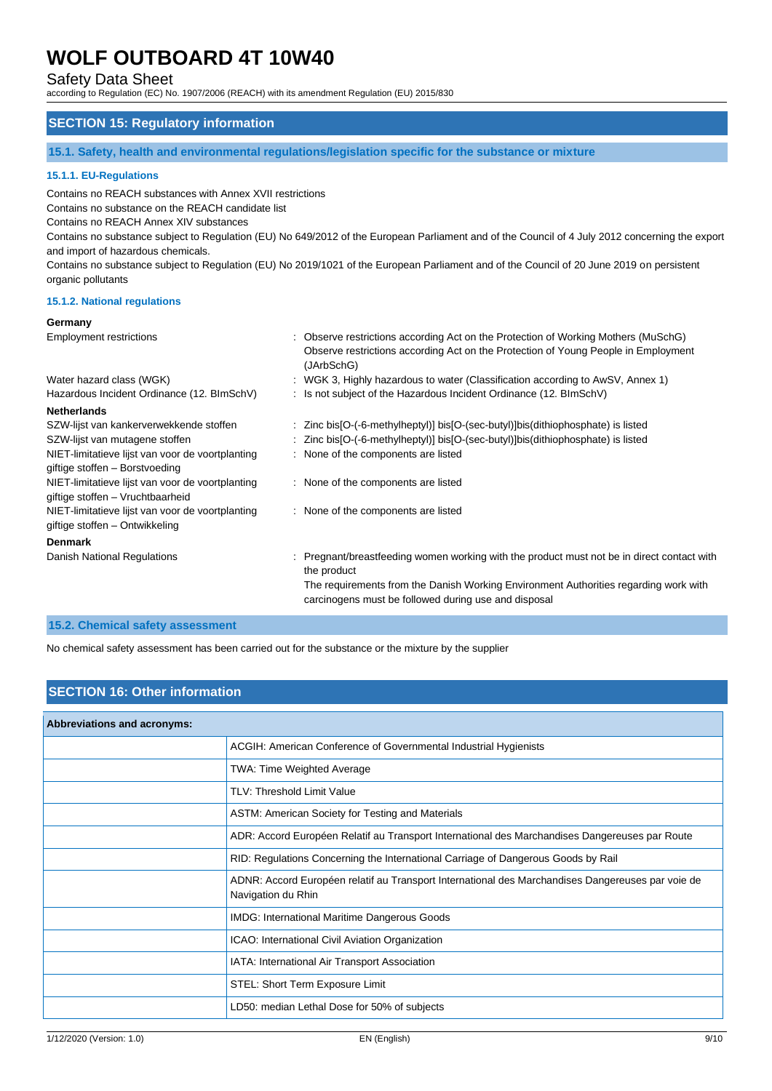Safety Data Sheet

according to Regulation (EC) No. 1907/2006 (REACH) with its amendment Regulation (EU) 2015/830

## **SECTION 15: Regulatory information**

**15.1. Safety, health and environmental regulations/legislation specific for the substance or mixture**

### **15.1.1. EU-Regulations**

Contains no REACH substances with Annex XVII restrictions

Contains no substance on the REACH candidate list

Contains no REACH Annex XIV substances

Contains no substance subject to Regulation (EU) No 649/2012 of the European Parliament and of the Council of 4 July 2012 concerning the export and import of hazardous chemicals.

Contains no substance subject to Regulation (EU) No 2019/1021 of the European Parliament and of the Council of 20 June 2019 on persistent organic pollutants

#### **15.1.2. National regulations**

#### **Germany**

| <b>Employment restrictions</b>                                                       | : Observe restrictions according Act on the Protection of Working Mothers (MuSchG)<br>Observe restrictions according Act on the Protection of Young People in Employment<br>(JArbSchG)                                                                    |
|--------------------------------------------------------------------------------------|-----------------------------------------------------------------------------------------------------------------------------------------------------------------------------------------------------------------------------------------------------------|
| Water hazard class (WGK)                                                             | : WGK 3, Highly hazardous to water (Classification according to AwSV, Annex 1)                                                                                                                                                                            |
| Hazardous Incident Ordinance (12. BImSchV)                                           | : Is not subject of the Hazardous Incident Ordinance (12. BImSchV)                                                                                                                                                                                        |
| <b>Netherlands</b>                                                                   |                                                                                                                                                                                                                                                           |
| SZW-lijst van kankerverwekkende stoffen                                              | : Zinc bis[O-(-6-methylheptyl)] bis[O-(sec-butyl)]bis(dithiophosphate) is listed                                                                                                                                                                          |
| SZW-lijst van mutagene stoffen                                                       | : Zinc bis[O-(-6-methylheptyl)] bis[O-(sec-butyl)]bis(dithiophosphate) is listed                                                                                                                                                                          |
| NIET-limitatieve lijst van voor de voortplanting<br>giftige stoffen - Borstvoeding   | : None of the components are listed                                                                                                                                                                                                                       |
| NIET-limitatieve lijst van voor de voortplanting<br>giftige stoffen - Vruchtbaarheid | : None of the components are listed                                                                                                                                                                                                                       |
| NIET-limitatieve lijst van voor de voortplanting<br>giftige stoffen - Ontwikkeling   | : None of the components are listed                                                                                                                                                                                                                       |
| <b>Denmark</b>                                                                       |                                                                                                                                                                                                                                                           |
| Danish National Regulations                                                          | : Pregnant/breastfeeding women working with the product must not be in direct contact with<br>the product<br>The requirements from the Danish Working Environment Authorities regarding work with<br>carcinogens must be followed during use and disposal |
|                                                                                      |                                                                                                                                                                                                                                                           |

#### **15.2. Chemical safety assessment**

No chemical safety assessment has been carried out for the substance or the mixture by the supplier

## **SECTION 16: Other information**

| <b>Abbreviations and acronyms:</b> |                                                                                                                         |
|------------------------------------|-------------------------------------------------------------------------------------------------------------------------|
|                                    | ACGIH: American Conference of Governmental Industrial Hygienists                                                        |
|                                    | TWA: Time Weighted Average                                                                                              |
|                                    | <b>TLV: Threshold Limit Value</b>                                                                                       |
|                                    | ASTM: American Society for Testing and Materials                                                                        |
|                                    | ADR: Accord Européen Relatif au Transport International des Marchandises Dangereuses par Route                          |
|                                    | RID: Regulations Concerning the International Carriage of Dangerous Goods by Rail                                       |
|                                    | ADNR: Accord Européen relatif au Transport International des Marchandises Dangereuses par voie de<br>Navigation du Rhin |
|                                    | <b>IMDG: International Maritime Dangerous Goods</b>                                                                     |
|                                    | ICAO: International Civil Aviation Organization                                                                         |
|                                    | IATA: International Air Transport Association                                                                           |
|                                    | STEL: Short Term Exposure Limit                                                                                         |
|                                    | LD50: median Lethal Dose for 50% of subjects                                                                            |